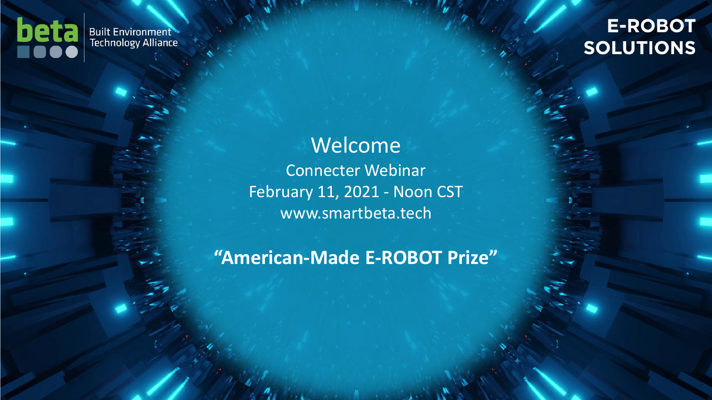

#### **E-ROBOT SOLUTIONS**

#### Welcome Connecter Webinar February 11, 2021 - Noon CST www.smartbeta.tech

**"American-Made E-ROBOT Prize"**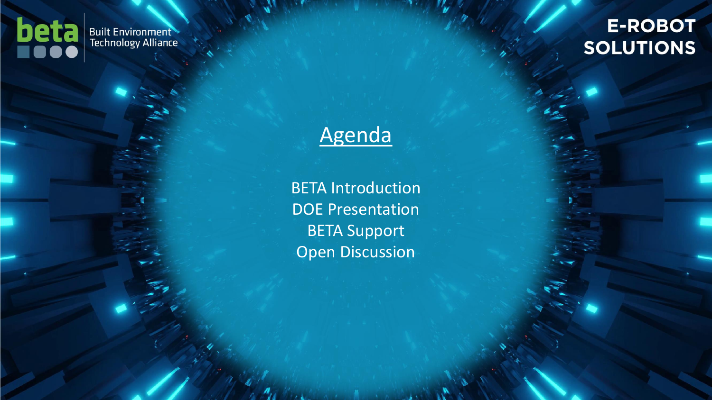

### E-ROBOT **SOLUTIONS**

# Agenda

BETA Introduction DOE Presentation BETA Support Open Discussion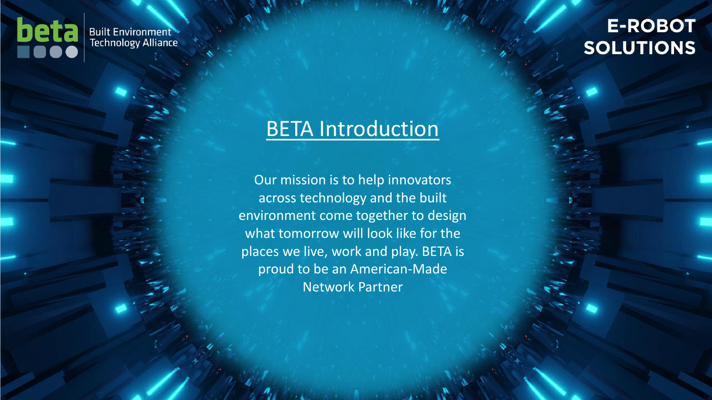

#### **E-ROBOT SOLUTIONS**

### **BETA Introduction**

Our mission is to help innovators across technology and the built environment come together to design what tomorrow will look like for the places we live, work and play. BETA is proud to be an American-Made Network Partner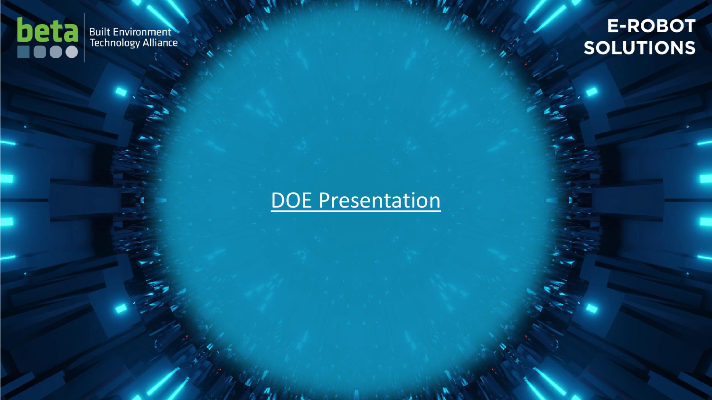

### **E-ROBOT SOLUTIONS**

# DOE Presentation

E-ROBOT Connecter Webinar I February 11, 2021, Noon CST I www.smartbeta.tech

**AND REAL**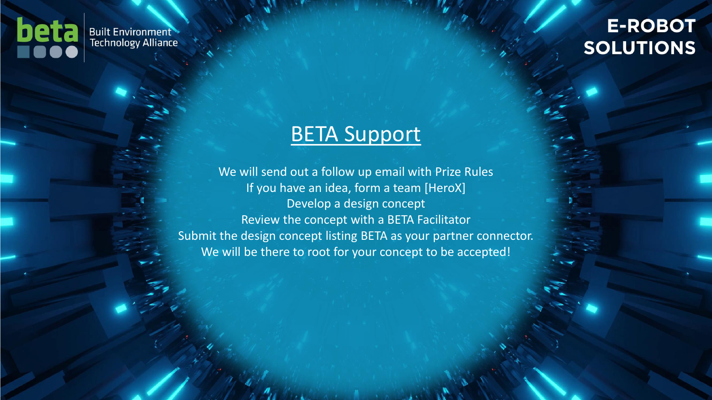

#### **E-ROBOT SOLUTIONS**

# BETA Support

We will send out a follow up email with Prize Rules If you have an idea, form a team [HeroX] Develop a design concept Review the concept with a BETA Facilitator Submit the design concept listing BETA as your partner connector. We will be there to root for your concept to be accepted!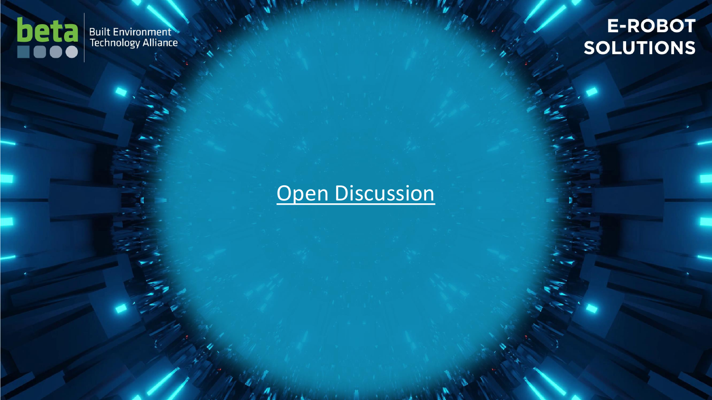

### **E-ROBOT SOLUTIONS**

# Open Discussion

E-ROBOT Connecter Webinar I February 11, 2021, Noon CST I www.smartbeta.tech

 $\mathbf{A}$